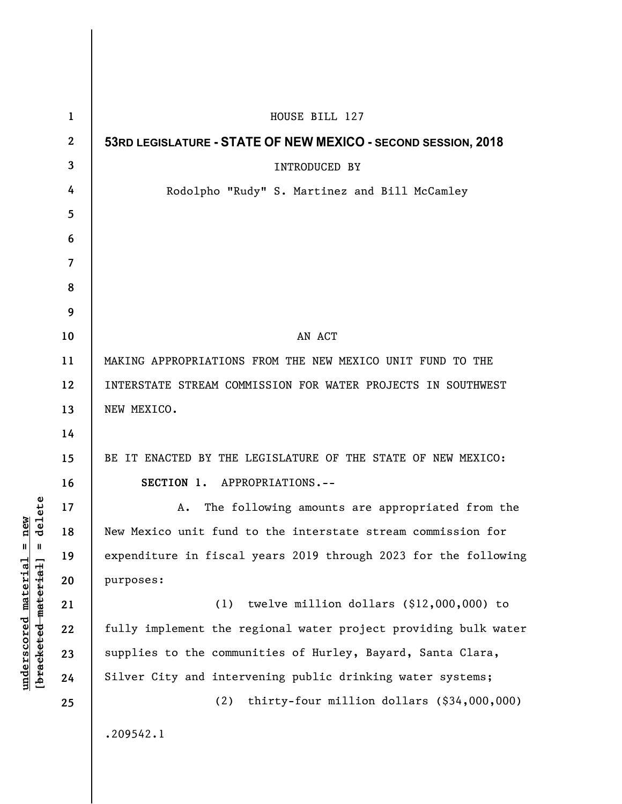| $\mathbf{1}$ | HOUSE BILL 127                                                  |
|--------------|-----------------------------------------------------------------|
| $\mathbf{2}$ | 53RD LEGISLATURE - STATE OF NEW MEXICO - SECOND SESSION, 2018   |
| 3            | <b>INTRODUCED BY</b>                                            |
| 4            | Rodolpho "Rudy" S. Martinez and Bill McCamley                   |
| 5            |                                                                 |
| 6            |                                                                 |
| 7            |                                                                 |
| 8            |                                                                 |
| 9            |                                                                 |
| 10           | AN ACT                                                          |
| 11           | MAKING APPROPRIATIONS FROM THE NEW MEXICO UNIT FUND TO THE      |
| 12           | INTERSTATE STREAM COMMISSION FOR WATER PROJECTS IN SOUTHWEST    |
| 13           | NEW MEXICO.                                                     |
| 14           |                                                                 |
| 15           | BE IT ENACTED BY THE LEGISLATURE OF THE STATE OF NEW MEXICO:    |
| 16           | SECTION 1. APPROPRIATIONS.--                                    |
| 17           | The following amounts are appropriated from the<br>Α.           |
| 18           | New Mexico unit fund to the interstate stream commission for    |
| 19           | expenditure in fiscal years 2019 through 2023 for the following |
| 20           | purposes:                                                       |
| 21           | twelve million dollars $(\$12,000,000)$ to<br>(1)               |
| 22           | fully implement the regional water project providing bulk water |
| 23           | supplies to the communities of Hurley, Bayard, Santa Clara,     |
| 24           | Silver City and intervening public drinking water systems;      |
| 25           | thirty-four million dollars (\$34,000,000)<br>(2)               |
|              | .209542.1                                                       |

 $[bracketeed-materiat] = delete$ **[bracketed material] = delete**  $underscored material = new$ **underscored material = new**

 $\overline{\phantom{a}}$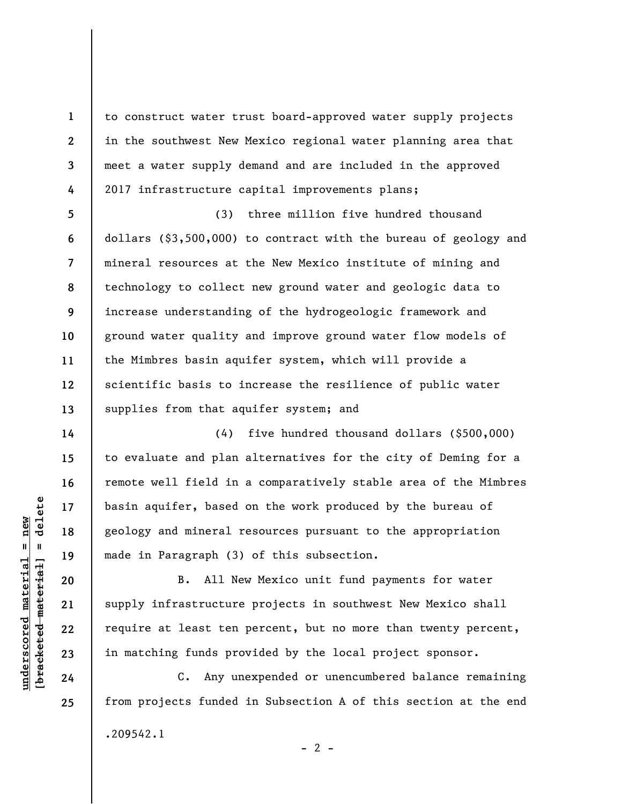to construct water trust board-approved water supply projects in the southwest New Mexico regional water planning area that meet a water supply demand and are included in the approved 2017 infrastructure capital improvements plans;

**5 6 7 8 9 10 11 12 13**  (3) three million five hundred thousand dollars (\$3,500,000) to contract with the bureau of geology and mineral resources at the New Mexico institute of mining and technology to collect new ground water and geologic data to increase understanding of the hydrogeologic framework and ground water quality and improve ground water flow models of the Mimbres basin aquifer system, which will provide a scientific basis to increase the resilience of public water supplies from that aquifer system; and

(4) five hundred thousand dollars (\$500,000) to evaluate and plan alternatives for the city of Deming for a remote well field in a comparatively stable area of the Mimbres basin aquifer, based on the work produced by the bureau of geology and mineral resources pursuant to the appropriation made in Paragraph (3) of this subsection.

B. All New Mexico unit fund payments for water supply infrastructure projects in southwest New Mexico shall require at least ten percent, but no more than twenty percent, in matching funds provided by the local project sponsor.

C. Any unexpended or unencumbered balance remaining from projects funded in Subsection A of this section at the end .209542.1  $- 2 -$ 

 $\frac{1}{2}$  of  $\frac{1}{2}$  and  $\frac{1}{2}$  and  $\frac{1}{2}$  and  $\frac{1}{2}$  and  $\frac{1}{2}$  and  $\frac{1}{2}$  and  $\frac{1}{2}$  and  $\frac{1}{2}$  and  $\frac{1}{2}$  and  $\frac{1}{2}$  and  $\frac{1}{2}$  and  $\frac{1}{2}$  and  $\frac{1}{2}$  and  $\frac{1}{2}$  and  $\frac{1}{2}$  an **[bracketed material] = delete**  $underscored material = new$ **underscored material = new**

**24 25** 

**1** 

**2** 

**3** 

**4** 

**14** 

**15** 

**16** 

**17** 

**18** 

**19** 

**20** 

**21** 

**22** 

**23**